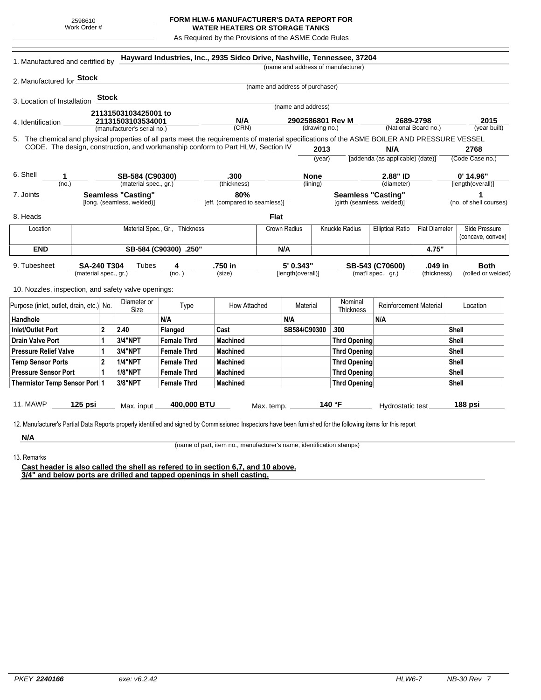## **FORM HLW-6 MANUFACTURER'S DATA REPORT FOR WATER HEATERS OR STORAGE TANKS**

As Required by the Provisions of the ASME Code Rules

| 1. Manufactured and certified by                                                                                                             |                       |                           |                            |                                | Hayward Industries, Inc., 2935 Sidco Drive, Nashville, Tennessee, 37204         |               |                                 | (name and address of manufacturer) |                               |             |                                       |                        |  |
|----------------------------------------------------------------------------------------------------------------------------------------------|-----------------------|---------------------------|----------------------------|--------------------------------|---------------------------------------------------------------------------------|---------------|---------------------------------|------------------------------------|-------------------------------|-------------|---------------------------------------|------------------------|--|
| 2. Manufactured for Stock                                                                                                                    |                       |                           |                            |                                |                                                                                 |               |                                 |                                    |                               |             |                                       |                        |  |
|                                                                                                                                              |                       |                           |                            |                                |                                                                                 |               | (name and address of purchaser) |                                    |                               |             |                                       |                        |  |
| 3. Location of Installation                                                                                                                  |                       | <b>Stock</b>              |                            |                                |                                                                                 |               |                                 |                                    |                               |             |                                       |                        |  |
|                                                                                                                                              |                       |                           | 21131503103425001 to       |                                |                                                                                 |               | (name and address)              |                                    |                               |             |                                       |                        |  |
| 4. Identification                                                                                                                            |                       |                           | 21131503103534001          |                                | N/A                                                                             |               | 2902586801 Rev M                |                                    | 2689-2798                     |             | 2015                                  |                        |  |
| (manufacturer's serial no.)                                                                                                                  |                       |                           |                            |                                | (CRN)                                                                           | (drawing no.) |                                 |                                    | (National Board no.)          |             |                                       | (year built)           |  |
| 5. The chemical and physical properties of all parts meet the requirements of material specifications of the ASME BOILER AND PRESSURE VESSEL |                       |                           |                            |                                |                                                                                 |               |                                 |                                    |                               |             |                                       |                        |  |
|                                                                                                                                              |                       |                           |                            |                                | CODE. The design, construction, and workmanship conform to Part HLW, Section IV |               | 2013                            |                                    | N/A                           |             | 2768                                  |                        |  |
|                                                                                                                                              |                       |                           |                            |                                |                                                                                 |               | (year)                          | [addenda (as applicable) (date)]   |                               |             |                                       | (Code Case no.)        |  |
| 6. Shell<br>1                                                                                                                                | SB-584 (C90300)       |                           |                            | .300                           |                                                                                 |               | <b>None</b>                     | 2.88" ID                           |                               | $0'$ 14.96" |                                       |                        |  |
| (no.)                                                                                                                                        | (material spec., gr.) |                           |                            |                                | (thickness)                                                                     |               | (lining)                        |                                    | (diameter)                    |             |                                       | [length(overall)]      |  |
| 7. Joints                                                                                                                                    |                       | <b>Seamless "Casting"</b> |                            |                                | 80%                                                                             |               |                                 | <b>Seamless "Casting"</b>          |                               |             |                                       |                        |  |
|                                                                                                                                              |                       |                           | [long. (seamless, welded)] |                                | [eff. (compared to seamless)]                                                   |               |                                 | [girth (seamless, welded)]         |                               |             |                                       | (no. of shell courses) |  |
| 8. Heads                                                                                                                                     |                       |                           |                            |                                |                                                                                 | <b>Flat</b>   |                                 |                                    |                               |             |                                       |                        |  |
| Location                                                                                                                                     |                       |                           |                            | Material Spec., Gr., Thickness |                                                                                 | Crown Radius  |                                 | Knuckle Radius                     | <b>Elliptical Ratio</b>       |             | Side Pressure<br><b>Flat Diameter</b> |                        |  |
|                                                                                                                                              |                       |                           |                            |                                |                                                                                 |               |                                 |                                    |                               |             |                                       | (concave, convex)      |  |
| <b>END</b>                                                                                                                                   | SB-584 (C90300) .250" |                           |                            |                                |                                                                                 | N/A           |                                 |                                    |                               | 4.75"       |                                       |                        |  |
| 9. Tubesheet<br><b>SA-240 T304</b><br>Tubes<br>4                                                                                             |                       |                           |                            | .750 in                        | 5'0.343"                                                                        |               | SB-543 (C70600)                 |                                    | .049 in                       | <b>Both</b> |                                       |                        |  |
|                                                                                                                                              | (material spec., gr.) |                           |                            | (no. )                         | (size)                                                                          |               | [length(overall)]               |                                    | (mat'l spec., gr.)            | (thickness) |                                       | (rolled or welded)     |  |
| 10. Nozzles, inspection, and safety valve openings:                                                                                          |                       |                           |                            |                                |                                                                                 |               |                                 |                                    |                               |             |                                       |                        |  |
|                                                                                                                                              |                       |                           | Diameter or                |                                |                                                                                 |               |                                 | Nominal                            |                               |             |                                       |                        |  |
| Purpose (inlet, outlet, drain, etc.) No.                                                                                                     |                       |                           | Size                       | Type                           | How Attached                                                                    |               | Material                        |                                    | <b>Reinforcement Material</b> |             |                                       | Location               |  |
| Handhole                                                                                                                                     |                       |                           |                            | N/A                            |                                                                                 | N/A           |                                 |                                    | N/A                           |             |                                       |                        |  |
| <b>Inlet/Outlet Port</b><br>$\mathbf{2}$                                                                                                     |                       |                           | 2.40                       | Flanged                        | Cast                                                                            |               | SB584/C90300                    | .300                               |                               |             | Shell                                 |                        |  |
| <b>Drain Valve Port</b>                                                                                                                      |                       | 1                         | 3/4"NPT                    | <b>Female Thrd</b>             | <b>Machined</b>                                                                 |               |                                 | <b>Thrd Opening</b>                |                               |             | <b>Shell</b>                          |                        |  |
| <b>Pressure Relief Valve</b>                                                                                                                 |                       | 1                         | 3/4"NPT                    | <b>Female Thrd</b>             | <b>Machined</b>                                                                 |               |                                 | <b>Thrd Opening</b>                |                               |             | <b>Shell</b>                          |                        |  |
| <b>Temp Sensor Ports</b>                                                                                                                     |                       | $\mathbf{2}$              | <b>1/4"NPT</b>             | <b>Female Thrd</b>             | <b>Machined</b>                                                                 |               |                                 | <b>Thrd Opening</b>                |                               |             | Shell                                 |                        |  |
| <b>Pressure Sensor Port</b><br>1                                                                                                             |                       |                           | <b>1/8"NPT</b>             | <b>Female Thrd</b>             | <b>Machined</b>                                                                 |               |                                 | <b>Thrd Opening</b>                |                               |             |                                       | Shell                  |  |
| Thermistor Temp Sensor Port 1                                                                                                                |                       |                           | 3/8"NPT                    | <b>Female Thrd</b>             | <b>Machined</b>                                                                 |               |                                 | <b>Thrd Opening</b>                |                               |             |                                       | <b>Shell</b>           |  |
|                                                                                                                                              |                       |                           |                            |                                |                                                                                 |               |                                 |                                    |                               |             |                                       |                        |  |
| 11. MAWP<br>125 psi                                                                                                                          |                       |                           | 400,000 BTU<br>Max. input  |                                |                                                                                 | Max. temp.    |                                 | 140 °F                             | Hydrostatic test              |             |                                       | 188 psi                |  |
|                                                                                                                                              |                       |                           |                            |                                |                                                                                 |               |                                 |                                    |                               |             |                                       |                        |  |

**N/A** 13. Remarks

(name of part, item no., manufacturer's name, identification stamps)

**Cast header is also called the shell as refered to in section 6,7, and 10 above. 3/4" and below ports are drilled and tapped openings in shell casting.**